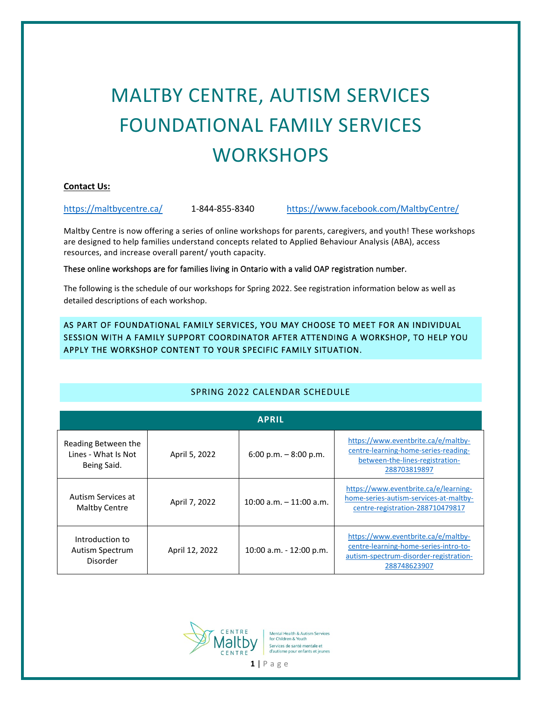# MALTBY CENTRE, AUTISM SERVICES FOUNDATIONAL FAMILY SERVICES **WORKSHOPS**

#### **Contact Us:**

<https://maltbycentre.ca/> 1-844-855-8340 <https://www.facebook.com/MaltbyCentre/>

Maltby Centre is now offering a series of online workshops for parents, caregivers, and youth! These workshops are designed to help families understand concepts related to Applied Behaviour Analysis (ABA), access resources, and increase overall parent/ youth capacity.

These online workshops are for families living in Ontario with a valid OAP registration number.

The following is the schedule of our workshops for Spring 2022. See registration information below as well as detailed descriptions of each workshop.

AS PART OF FOUNDATIONAL FAMILY SERVICES, YOU MAY CHOOSE TO MEET FOR AN INDIVIDUAL SESSION WITH A FAMILY SUPPORT COORDINATOR AFTER ATTENDING A WORKSHOP, TO HELP YOU APPLY THE WORKSHOP CONTENT TO YOUR SPECIFIC FAMILY SITUATION.

| <b>APRIL</b>                                              |                |                            |                                                                                                                                        |  |  |
|-----------------------------------------------------------|----------------|----------------------------|----------------------------------------------------------------------------------------------------------------------------------------|--|--|
| Reading Between the<br>Lines - What Is Not<br>Being Said. | April 5, 2022  | 6:00 p.m. $-8:00$ p.m.     | https://www.eventbrite.ca/e/maltby-<br>centre-learning-home-series-reading-<br>between-the-lines-registration-<br>288703819897         |  |  |
| Autism Services at<br><b>Maltby Centre</b>                | April 7, 2022  | $10:00$ a.m. $-11:00$ a.m. | https://www.eventbrite.ca/e/learning-<br>home-series-autism-services-at-maltby-<br>centre-registration-288710479817                    |  |  |
| Introduction to<br>Autism Spectrum<br>Disorder            | April 12, 2022 | 10:00 a.m. - 12:00 p.m.    | https://www.eventbrite.ca/e/maltby-<br>centre-learning-home-series-intro-to-<br>autism-spectrum-disorder-registration-<br>288748623907 |  |  |

## SPRING 2022 CALENDAR SCHEDULE

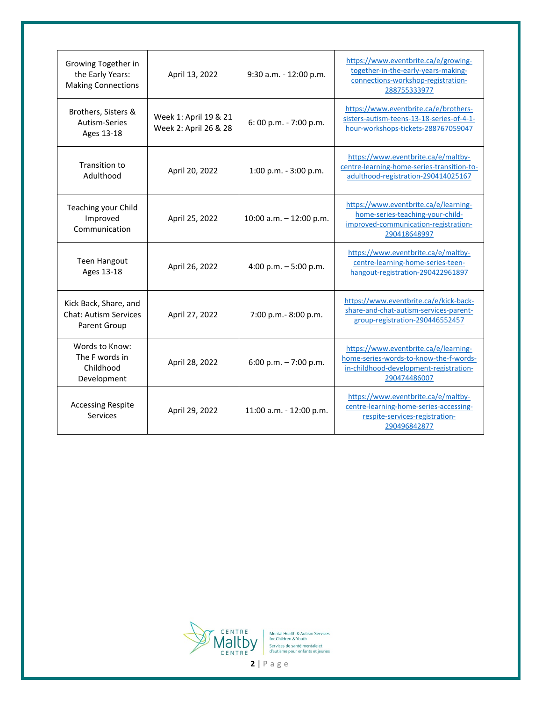| Growing Together in<br>the Early Years:<br><b>Making Connections</b>  | April 13, 2022                                 | 9:30 a.m. - 12:00 p.m.    | https://www.eventbrite.ca/e/growing-<br>together-in-the-early-years-making-<br>connections-workshop-registration-<br>288755333977         |
|-----------------------------------------------------------------------|------------------------------------------------|---------------------------|-------------------------------------------------------------------------------------------------------------------------------------------|
| Brothers, Sisters &<br>Autism-Series<br>Ages 13-18                    | Week 1: April 19 & 21<br>Week 2: April 26 & 28 | 6: 00 p.m. - 7:00 p.m.    | https://www.eventbrite.ca/e/brothers-<br>sisters-autism-teens-13-18-series-of-4-1-<br>hour-workshops-tickets-288767059047                 |
| Transition to<br>Adulthood                                            | April 20, 2022                                 | 1:00 p.m. - 3:00 p.m.     | https://www.eventbrite.ca/e/maltby-<br>centre-learning-home-series-transition-to-<br>adulthood-registration-290414025167                  |
| Teaching your Child<br>Improved<br>Communication                      | April 25, 2022                                 | 10:00 a.m. $-$ 12:00 p.m. | https://www.eventbrite.ca/e/learning-<br>home-series-teaching-your-child-<br>improved-communication-registration-<br>290418648997         |
| <b>Teen Hangout</b><br>Ages 13-18                                     | April 26, 2022                                 | 4:00 p.m. $-5:00$ p.m.    | https://www.eventbrite.ca/e/maltby-<br>centre-learning-home-series-teen-<br>hangout-registration-290422961897                             |
| Kick Back, Share, and<br><b>Chat: Autism Services</b><br>Parent Group | April 27, 2022                                 | 7:00 p.m.-8:00 p.m.       | https://www.eventbrite.ca/e/kick-back-<br>share-and-chat-autism-services-parent-<br>group-registration-290446552457                       |
| Words to Know:<br>The F words in<br>Childhood<br>Development          | April 28, 2022                                 | 6:00 p.m. $-7:00$ p.m.    | https://www.eventbrite.ca/e/learning-<br>home-series-words-to-know-the-f-words-<br>in-childhood-development-registration-<br>290474486007 |
| <b>Accessing Respite</b><br>Services                                  | April 29, 2022                                 | 11:00 a.m. - 12:00 p.m.   | https://www.eventbrite.ca/e/maltby-<br>centre-learning-home-series-accessing-<br>respite-services-registration-<br>290496842877           |

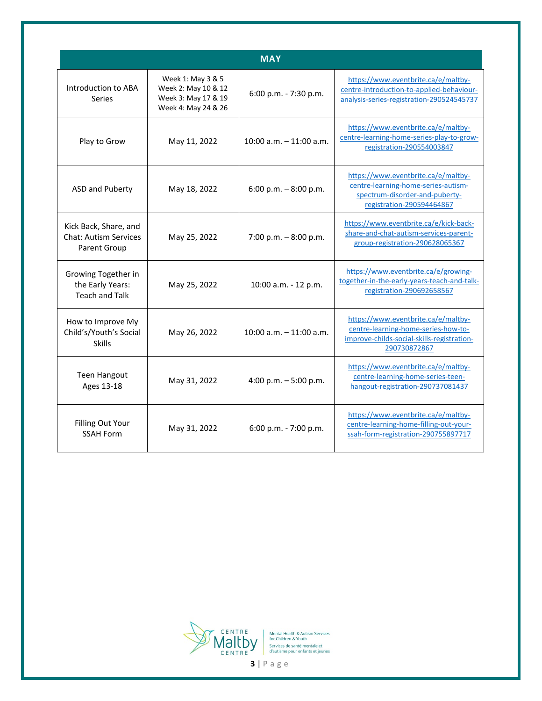| <b>MAY</b>                                                            |                                                                                        |                            |                                                                                                                                           |  |  |
|-----------------------------------------------------------------------|----------------------------------------------------------------------------------------|----------------------------|-------------------------------------------------------------------------------------------------------------------------------------------|--|--|
| Introduction to ABA<br>Series                                         | Week 1: May 3 & 5<br>Week 2: May 10 & 12<br>Week 3: May 17 & 19<br>Week 4: May 24 & 26 | $6:00$ p.m. - 7:30 p.m.    | https://www.eventbrite.ca/e/maltby-<br>centre-introduction-to-applied-behaviour-<br>analysis-series-registration-290524545737             |  |  |
| Play to Grow                                                          | May 11, 2022                                                                           | $10:00$ a.m. $-11:00$ a.m. | https://www.eventbrite.ca/e/maltby-<br>centre-learning-home-series-play-to-grow-<br>registration-290554003847                             |  |  |
| ASD and Puberty                                                       | May 18, 2022                                                                           | 6:00 p.m. $-8:00$ p.m.     | https://www.eventbrite.ca/e/maltby-<br>centre-learning-home-series-autism-<br>spectrum-disorder-and-puberty-<br>registration-290594464867 |  |  |
| Kick Back, Share, and<br><b>Chat: Autism Services</b><br>Parent Group | May 25, 2022                                                                           | 7:00 p.m. $-8:00$ p.m.     | https://www.eventbrite.ca/e/kick-back-<br>share-and-chat-autism-services-parent-<br>group-registration-290628065367                       |  |  |
| Growing Together in<br>the Early Years:<br><b>Teach and Talk</b>      | May 25, 2022                                                                           | 10:00 a.m. - 12 p.m.       | https://www.eventbrite.ca/e/growing-<br>together-in-the-early-years-teach-and-talk-<br>registration-290692658567                          |  |  |
| How to Improve My<br>Child's/Youth's Social<br><b>Skills</b>          | May 26, 2022                                                                           | $10:00$ a.m. $-11:00$ a.m. | https://www.eventbrite.ca/e/maltby-<br>centre-learning-home-series-how-to-<br>improve-childs-social-skills-registration-<br>290730872867  |  |  |
| <b>Teen Hangout</b><br>Ages 13-18                                     | May 31, 2022                                                                           | 4:00 p.m. $-5:00$ p.m.     | https://www.eventbrite.ca/e/maltby-<br>centre-learning-home-series-teen-<br>hangout-registration-290737081437                             |  |  |
| <b>Filling Out Your</b><br><b>SSAH Form</b>                           | May 31, 2022                                                                           | 6:00 p.m. - 7:00 p.m.      | https://www.eventbrite.ca/e/maltby-<br>centre-learning-home-filling-out-your-<br>ssah-form-registration-290755897717                      |  |  |

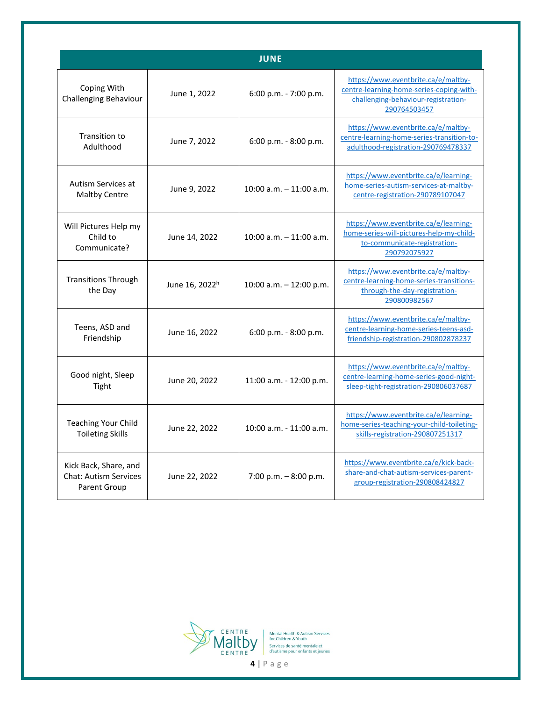| <b>JUNE</b>                                                           |                            |                            |                                                                                                                                        |  |  |
|-----------------------------------------------------------------------|----------------------------|----------------------------|----------------------------------------------------------------------------------------------------------------------------------------|--|--|
| Coping With<br>Challenging Behaviour                                  | June 1, 2022               | $6:00$ p.m. $-7:00$ p.m.   | https://www.eventbrite.ca/e/maltby-<br>centre-learning-home-series-coping-with-<br>challenging-behaviour-registration-<br>290764503457 |  |  |
| Transition to<br>Adulthood                                            | June 7, 2022               | $6:00$ p.m. $-8:00$ p.m.   | https://www.eventbrite.ca/e/maltby-<br>centre-learning-home-series-transition-to-<br>adulthood-registration-290769478337               |  |  |
| Autism Services at<br><b>Maltby Centre</b>                            | June 9, 2022               | $10:00$ a.m. $-11:00$ a.m. | https://www.eventbrite.ca/e/learning-<br>home-series-autism-services-at-maltby-<br>centre-registration-290789107047                    |  |  |
| Will Pictures Help my<br>Child to<br>Communicate?                     | June 14, 2022              | $10:00$ a.m. $-11:00$ a.m. | https://www.eventbrite.ca/e/learning-<br>home-series-will-pictures-help-my-child-<br>to-communicate-registration-<br>290792075927      |  |  |
| <b>Transitions Through</b><br>the Day                                 | June 16, 2022 <sup>h</sup> | 10:00 a.m. $-$ 12:00 p.m.  | https://www.eventbrite.ca/e/maltby-<br>centre-learning-home-series-transitions-<br>through-the-day-registration-<br>290800982567       |  |  |
| Teens, ASD and<br>Friendship                                          | June 16, 2022              | $6:00$ p.m. $-8:00$ p.m.   | https://www.eventbrite.ca/e/maltby-<br>centre-learning-home-series-teens-asd-<br>friendship-registration-290802878237                  |  |  |
| Good night, Sleep<br>Tight                                            | June 20, 2022              | $11:00$ a.m. $-12:00$ p.m. | https://www.eventbrite.ca/e/maltby-<br>centre-learning-home-series-good-night-<br>sleep-tight-registration-290806037687                |  |  |
| <b>Teaching Your Child</b><br><b>Toileting Skills</b>                 | June 22, 2022              | $10:00$ a.m. $-11:00$ a.m. | https://www.eventbrite.ca/e/learning-<br>home-series-teaching-your-child-toileting-<br>skills-registration-290807251317                |  |  |
| Kick Back, Share, and<br><b>Chat: Autism Services</b><br>Parent Group | June 22, 2022              | 7:00 p.m. $-8:00$ p.m.     | https://www.eventbrite.ca/e/kick-back-<br>share-and-chat-autism-services-parent-<br>group-registration-290808424827                    |  |  |

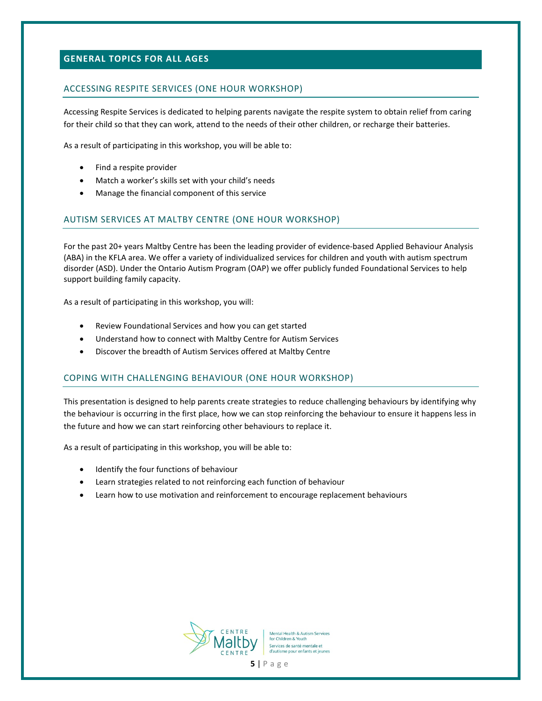## **GENERAL TOPICS FOR ALL AGES**

#### ACCESSING RESPITE SERVICES (ONE HOUR WORKSHOP)

Accessing Respite Services is dedicated to helping parents navigate the respite system to obtain relief from caring for their child so that they can work, attend to the needs of their other children, or recharge their batteries.

As a result of participating in this workshop, you will be able to:

- Find a respite provider
- Match a worker's skills set with your child's needs
- Manage the financial component of this service

#### AUTISM SERVICES AT MALTBY CENTRE (ONE HOUR WORKSHOP)

For the past 20+ years Maltby Centre has been the leading provider of evidence-based Applied Behaviour Analysis (ABA) in the KFLA area. We offer a variety of individualized services for children and youth with autism spectrum disorder (ASD). Under the Ontario Autism Program (OAP) we offer publicly funded Foundational Services to help support building family capacity.

As a result of participating in this workshop, you will:

- Review Foundational Services and how you can get started
- Understand how to connect with Maltby Centre for Autism Services
- Discover the breadth of Autism Services offered at Maltby Centre

#### COPING WITH CHALLENGING BEHAVIOUR (ONE HOUR WORKSHOP)

This presentation is designed to help parents create strategies to reduce challenging behaviours by identifying why the behaviour is occurring in the first place, how we can stop reinforcing the behaviour to ensure it happens less in the future and how we can start reinforcing other behaviours to replace it.

As a result of participating in this workshop, you will be able to:

- Identify the four functions of behaviour
- Learn strategies related to not reinforcing each function of behaviour
- Learn how to use motivation and reinforcement to encourage replacement behaviours

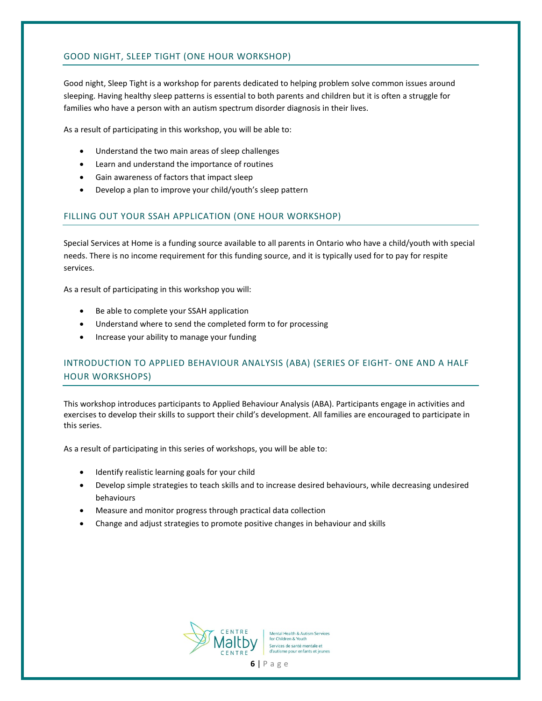## GOOD NIGHT, SLEEP TIGHT (ONE HOUR WORKSHOP)

Good night, Sleep Tight is a workshop for parents dedicated to helping problem solve common issues around sleeping. Having healthy sleep patterns is essential to both parents and children but it is often a struggle for families who have a person with an autism spectrum disorder diagnosis in their lives.

As a result of participating in this workshop, you will be able to:

- Understand the two main areas of sleep challenges
- Learn and understand the importance of routines
- Gain awareness of factors that impact sleep
- Develop a plan to improve your child/youth's sleep pattern

#### FILLING OUT YOUR SSAH APPLICATION (ONE HOUR WORKSHOP)

Special Services at Home is a funding source available to all parents in Ontario who have a child/youth with special needs. There is no income requirement for this funding source, and it is typically used for to pay for respite services.

As a result of participating in this workshop you will:

- Be able to complete your SSAH application
- Understand where to send the completed form to for processing
- Increase your ability to manage your funding

## INTRODUCTION TO APPLIED BEHAVIOUR ANALYSIS (ABA) (SERIES OF EIGHT- ONE AND A HALF HOUR WORKSHOPS)

This workshop introduces participants to Applied Behaviour Analysis (ABA). Participants engage in activities and exercises to develop their skills to support their child's development. All families are encouraged to participate in this series.

As a result of participating in this series of workshops, you will be able to:

- Identify realistic learning goals for your child
- Develop simple strategies to teach skills and to increase desired behaviours, while decreasing undesired behaviours
- Measure and monitor progress through practical data collection
- Change and adjust strategies to promote positive changes in behaviour and skills

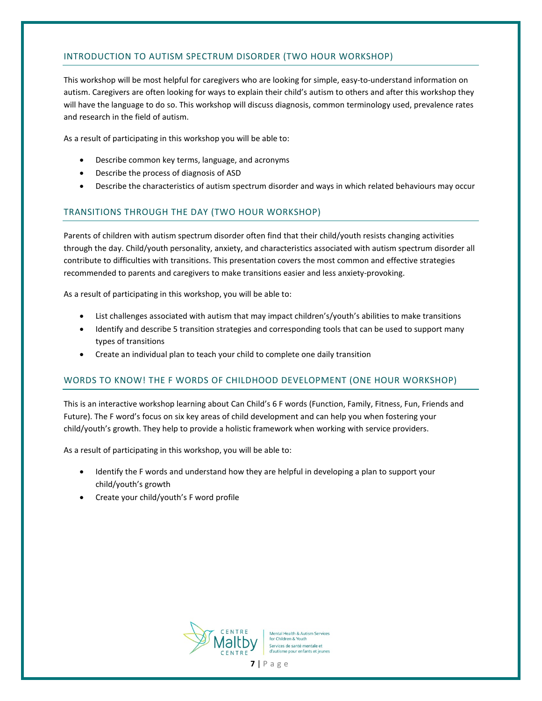## INTRODUCTION TO AUTISM SPECTRUM DISORDER (TWO HOUR WORKSHOP)

This workshop will be most helpful for caregivers who are looking for simple, easy-to-understand information on autism. Caregivers are often looking for ways to explain their child's autism to others and after this workshop they will have the language to do so. This workshop will discuss diagnosis, common terminology used, prevalence rates and research in the field of autism.

As a result of participating in this workshop you will be able to:

- Describe common key terms, language, and acronyms
- Describe the process of diagnosis of ASD
- Describe the characteristics of autism spectrum disorder and ways in which related behaviours may occur

## TRANSITIONS THROUGH THE DAY (TWO HOUR WORKSHOP)

Parents of children with autism spectrum disorder often find that their child/youth resists changing activities through the day. Child/youth personality, anxiety, and characteristics associated with autism spectrum disorder all contribute to difficulties with transitions. This presentation covers the most common and effective strategies recommended to parents and caregivers to make transitions easier and less anxiety-provoking.

As a result of participating in this workshop, you will be able to:

- List challenges associated with autism that may impact children's/youth's abilities to make transitions
- Identify and describe 5 transition strategies and corresponding tools that can be used to support many types of transitions
- Create an individual plan to teach your child to complete one daily transition

## WORDS TO KNOW! THE F WORDS OF CHILDHOOD DEVELOPMENT (ONE HOUR WORKSHOP)

This is an interactive workshop learning about Can Child's 6 F words (Function, Family, Fitness, Fun, Friends and Future). The F word's focus on six key areas of child development and can help you when fostering your child/youth's growth. They help to provide a holistic framework when working with service providers.

As a result of participating in this workshop, you will be able to:

- Identify the F words and understand how they are helpful in developing a plan to support your child/youth's growth
- Create your child/youth's F word profile

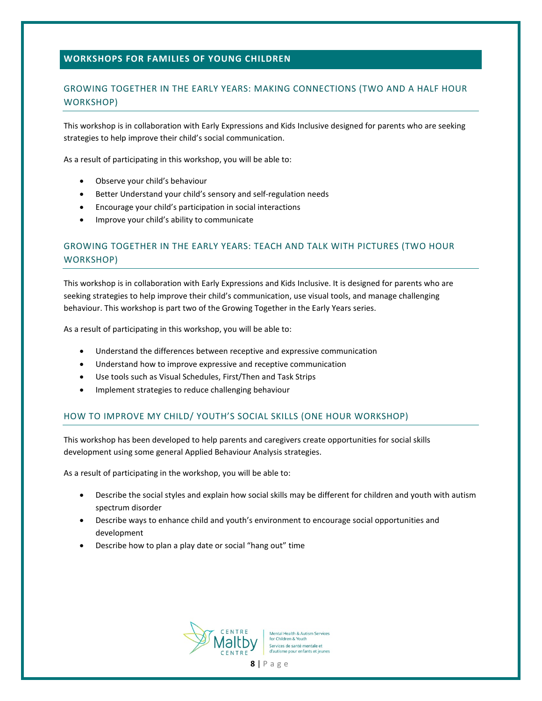## **WORKSHOPS FOR FAMILIES OF YOUNG CHILDREN**

# GROWING TOGETHER IN THE EARLY YEARS: MAKING CONNECTIONS (TWO AND A HALF HOUR WORKSHOP)

This workshop is in collaboration with Early Expressions and Kids Inclusive designed for parents who are seeking strategies to help improve their child's social communication.

As a result of participating in this workshop, you will be able to:

- Observe your child's behaviour
- Better Understand your child's sensory and self-regulation needs
- Encourage your child's participation in social interactions
- Improve your child's ability to communicate

# GROWING TOGETHER IN THE EARLY YEARS: TEACH AND TALK WITH PICTURES (TWO HOUR WORKSHOP)

This workshop is in collaboration with Early Expressions and Kids Inclusive. It is designed for parents who are seeking strategies to help improve their child's communication, use visual tools, and manage challenging behaviour. This workshop is part two of the Growing Together in the Early Years series.

As a result of participating in this workshop, you will be able to:

- Understand the differences between receptive and expressive communication
- Understand how to improve expressive and receptive communication
- Use tools such as Visual Schedules, First/Then and Task Strips
- Implement strategies to reduce challenging behaviour

#### HOW TO IMPROVE MY CHILD/ YOUTH'S SOCIAL SKILLS (ONE HOUR WORKSHOP)

This workshop has been developed to help parents and caregivers create opportunities for social skills development using some general Applied Behaviour Analysis strategies.

As a result of participating in the workshop, you will be able to:

- Describe the social styles and explain how social skills may be different for children and youth with autism spectrum disorder
- Describe ways to enhance child and youth's environment to encourage social opportunities and development
- Describe how to plan a play date or social "hang out" time

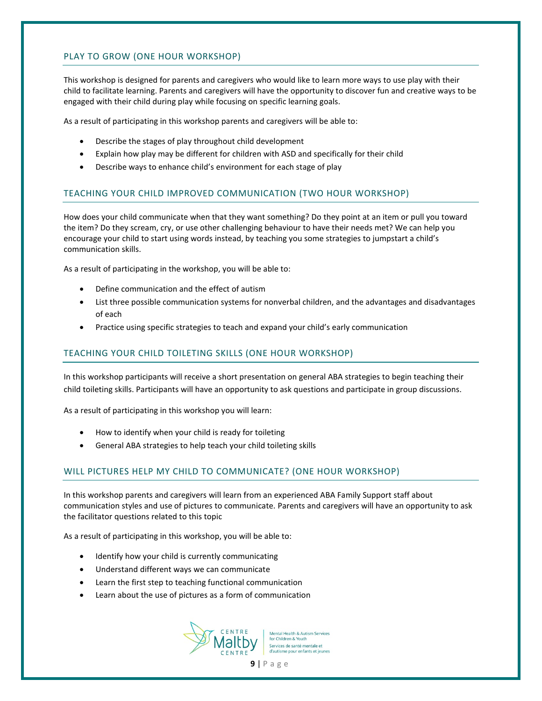#### PLAY TO GROW (ONE HOUR WORKSHOP)

This workshop is designed for parents and caregivers who would like to learn more ways to use play with their child to facilitate learning. Parents and caregivers will have the opportunity to discover fun and creative ways to be engaged with their child during play while focusing on specific learning goals.

As a result of participating in this workshop parents and caregivers will be able to:

- Describe the stages of play throughout child development
- Explain how play may be different for children with ASD and specifically for their child
- Describe ways to enhance child's environment for each stage of play

#### TEACHING YOUR CHILD IMPROVED COMMUNICATION (TWO HOUR WORKSHOP)

How does your child communicate when that they want something? Do they point at an item or pull you toward the item? Do they scream, cry, or use other challenging behaviour to have their needs met? We can help you encourage your child to start using words instead, by teaching you some strategies to jumpstart a child's communication skills.

As a result of participating in the workshop, you will be able to:

- Define communication and the effect of autism
- List three possible communication systems for nonverbal children, and the advantages and disadvantages of each
- Practice using specific strategies to teach and expand your child's early communication

#### TEACHING YOUR CHILD TOILETING SKILLS (ONE HOUR WORKSHOP)

In this workshop participants will receive a short presentation on general ABA strategies to begin teaching their child toileting skills. Participants will have an opportunity to ask questions and participate in group discussions.

As a result of participating in this workshop you will learn:

- How to identify when your child is ready for toileting
- General ABA strategies to help teach your child toileting skills

#### WILL PICTURES HELP MY CHILD TO COMMUNICATE? (ONE HOUR WORKSHOP)

In this workshop parents and caregivers will learn from an experienced ABA Family Support staff about communication styles and use of pictures to communicate. Parents and caregivers will have an opportunity to ask the facilitator questions related to this topic

As a result of participating in this workshop, you will be able to:

- Identify how your child is currently communicating
- Understand different ways we can communicate
- Learn the first step to teaching functional communication
- Learn about the use of pictures as a form of communication



**Mental Health & Autism Services** for Children & Youth Services de santé mentale et d'autisme pour enfants et jeunes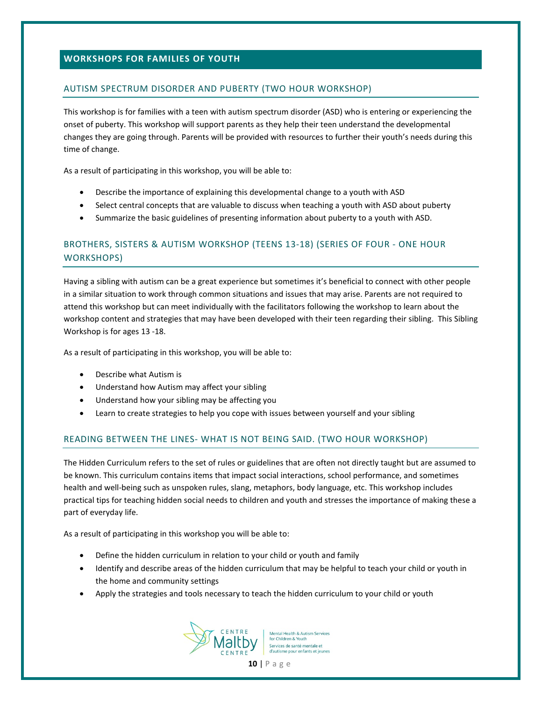#### **WORKSHOPS FOR FAMILIES OF YOUTH**

#### AUTISM SPECTRUM DISORDER AND PUBERTY (TWO HOUR WORKSHOP)

This workshop is for families with a teen with autism spectrum disorder (ASD) who is entering or experiencing the onset of puberty. This workshop will support parents as they help their teen understand the developmental changes they are going through. Parents will be provided with resources to further their youth's needs during this time of change.

As a result of participating in this workshop, you will be able to:

- Describe the importance of explaining this developmental change to a youth with ASD
- Select central concepts that are valuable to discuss when teaching a youth with ASD about puberty
- Summarize the basic guidelines of presenting information about puberty to a youth with ASD.

# BROTHERS, SISTERS & AUTISM WORKSHOP (TEENS 13-18) (SERIES OF FOUR - ONE HOUR WORKSHOPS)

Having a sibling with autism can be a great experience but sometimes it's beneficial to connect with other people in a similar situation to work through common situations and issues that may arise. Parents are not required to attend this workshop but can meet individually with the facilitators following the workshop to learn about the workshop content and strategies that may have been developed with their teen regarding their sibling. This Sibling Workshop is for ages 13 -18.

As a result of participating in this workshop, you will be able to:

- Describe what Autism is
- Understand how Autism may affect your sibling
- Understand how your sibling may be affecting you
- Learn to create strategies to help you cope with issues between yourself and your sibling

#### READING BETWEEN THE LINES- WHAT IS NOT BEING SAID. (TWO HOUR WORKSHOP)

The Hidden Curriculum refers to the set of rules or guidelines that are often not directly taught but are assumed to be known. This curriculum contains items that impact social interactions, school performance, and sometimes health and well-being such as unspoken rules, slang, metaphors, body language, etc. This workshop includes practical tips for teaching hidden social needs to children and youth and stresses the importance of making these a part of everyday life.

As a result of participating in this workshop you will be able to:

- Define the hidden curriculum in relation to your child or youth and family
- Identify and describe areas of the hidden curriculum that may be helpful to teach your child or youth in the home and community settings
- Apply the strategies and tools necessary to teach the hidden curriculum to your child or youth



lental Health & Autism Services for Children & Youth Services de santé mentale et d'autisme pour enfants et jeunes